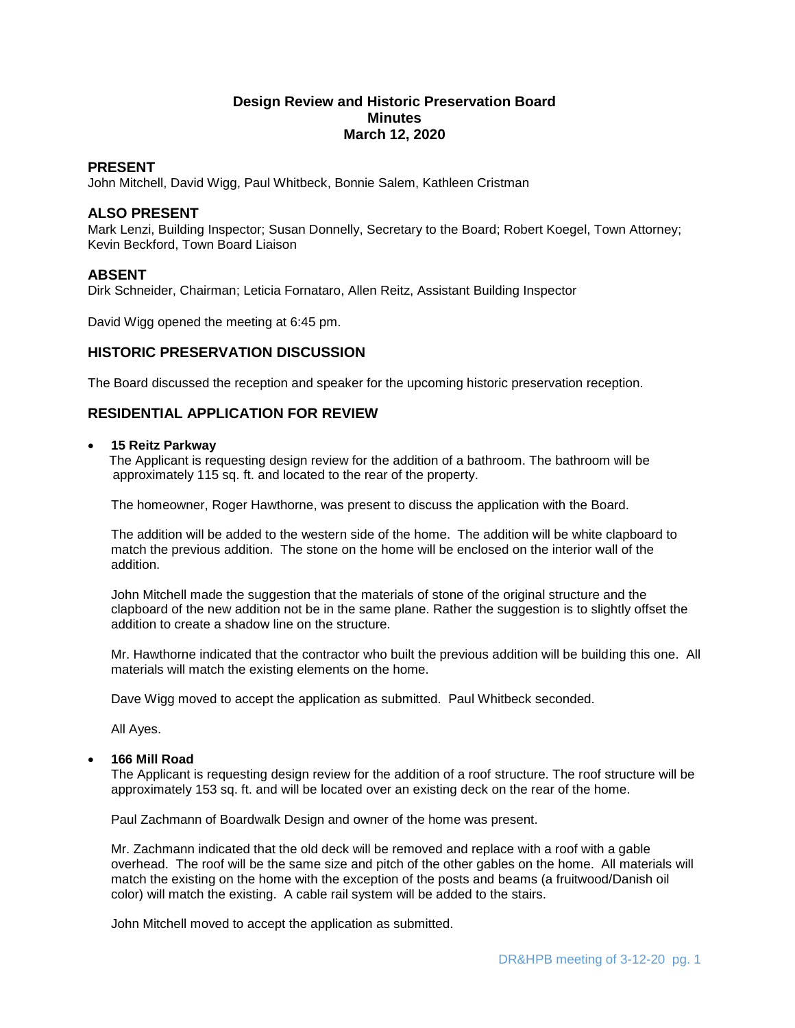# **Design Review and Historic Preservation Board Minutes March 12, 2020**

## **PRESENT**

John Mitchell, David Wigg, Paul Whitbeck, Bonnie Salem, Kathleen Cristman

## **ALSO PRESENT**

Mark Lenzi, Building Inspector; Susan Donnelly, Secretary to the Board; Robert Koegel, Town Attorney; Kevin Beckford, Town Board Liaison

# **ABSENT**

Dirk Schneider, Chairman; Leticia Fornataro, Allen Reitz, Assistant Building Inspector

David Wigg opened the meeting at 6:45 pm.

## **HISTORIC PRESERVATION DISCUSSION**

The Board discussed the reception and speaker for the upcoming historic preservation reception.

# **RESIDENTIAL APPLICATION FOR REVIEW**

#### **15 Reitz Parkway**

 The Applicant is requesting design review for the addition of a bathroom. The bathroom will be approximately 115 sq. ft. and located to the rear of the property.

The homeowner, Roger Hawthorne, was present to discuss the application with the Board.

The addition will be added to the western side of the home. The addition will be white clapboard to match the previous addition. The stone on the home will be enclosed on the interior wall of the addition.

John Mitchell made the suggestion that the materials of stone of the original structure and the clapboard of the new addition not be in the same plane. Rather the suggestion is to slightly offset the addition to create a shadow line on the structure.

Mr. Hawthorne indicated that the contractor who built the previous addition will be building this one. All materials will match the existing elements on the home.

Dave Wigg moved to accept the application as submitted. Paul Whitbeck seconded.

All Ayes.

### **166 Mill Road**

The Applicant is requesting design review for the addition of a roof structure. The roof structure will be approximately 153 sq. ft. and will be located over an existing deck on the rear of the home.

Paul Zachmann of Boardwalk Design and owner of the home was present.

Mr. Zachmann indicated that the old deck will be removed and replace with a roof with a gable overhead. The roof will be the same size and pitch of the other gables on the home. All materials will match the existing on the home with the exception of the posts and beams (a fruitwood/Danish oil color) will match the existing. A cable rail system will be added to the stairs.

John Mitchell moved to accept the application as submitted.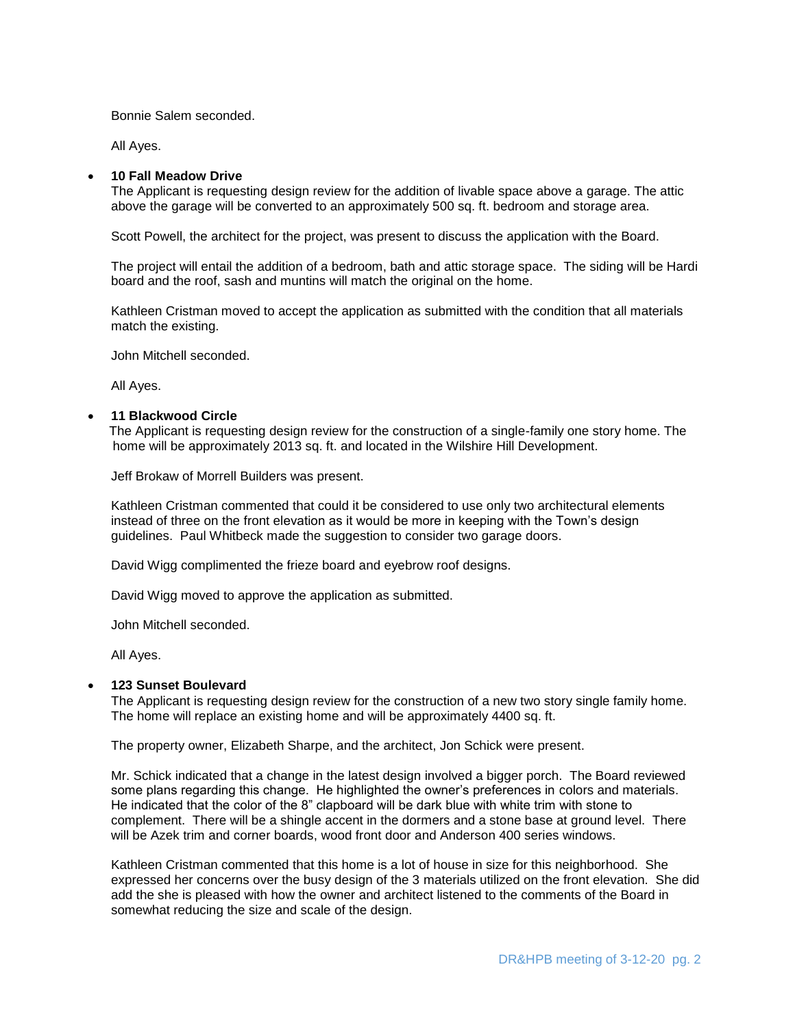Bonnie Salem seconded.

All Ayes.

#### **10 Fall Meadow Drive**

The Applicant is requesting design review for the addition of livable space above a garage. The attic above the garage will be converted to an approximately 500 sq. ft. bedroom and storage area.

Scott Powell, the architect for the project, was present to discuss the application with the Board.

The project will entail the addition of a bedroom, bath and attic storage space. The siding will be Hardi board and the roof, sash and muntins will match the original on the home.

Kathleen Cristman moved to accept the application as submitted with the condition that all materials match the existing.

John Mitchell seconded.

All Ayes.

#### **11 Blackwood Circle**

 The Applicant is requesting design review for the construction of a single-family one story home. The home will be approximately 2013 sq. ft. and located in the Wilshire Hill Development.

Jeff Brokaw of Morrell Builders was present.

Kathleen Cristman commented that could it be considered to use only two architectural elements instead of three on the front elevation as it would be more in keeping with the Town's design guidelines. Paul Whitbeck made the suggestion to consider two garage doors.

David Wigg complimented the frieze board and eyebrow roof designs.

David Wigg moved to approve the application as submitted.

John Mitchell seconded.

All Ayes.

#### **123 Sunset Boulevard**

The Applicant is requesting design review for the construction of a new two story single family home. The home will replace an existing home and will be approximately 4400 sq. ft.

The property owner, Elizabeth Sharpe, and the architect, Jon Schick were present.

Mr. Schick indicated that a change in the latest design involved a bigger porch. The Board reviewed some plans regarding this change. He highlighted the owner's preferences in colors and materials. He indicated that the color of the 8" clapboard will be dark blue with white trim with stone to complement. There will be a shingle accent in the dormers and a stone base at ground level. There will be Azek trim and corner boards, wood front door and Anderson 400 series windows.

Kathleen Cristman commented that this home is a lot of house in size for this neighborhood. She expressed her concerns over the busy design of the 3 materials utilized on the front elevation. She did add the she is pleased with how the owner and architect listened to the comments of the Board in somewhat reducing the size and scale of the design.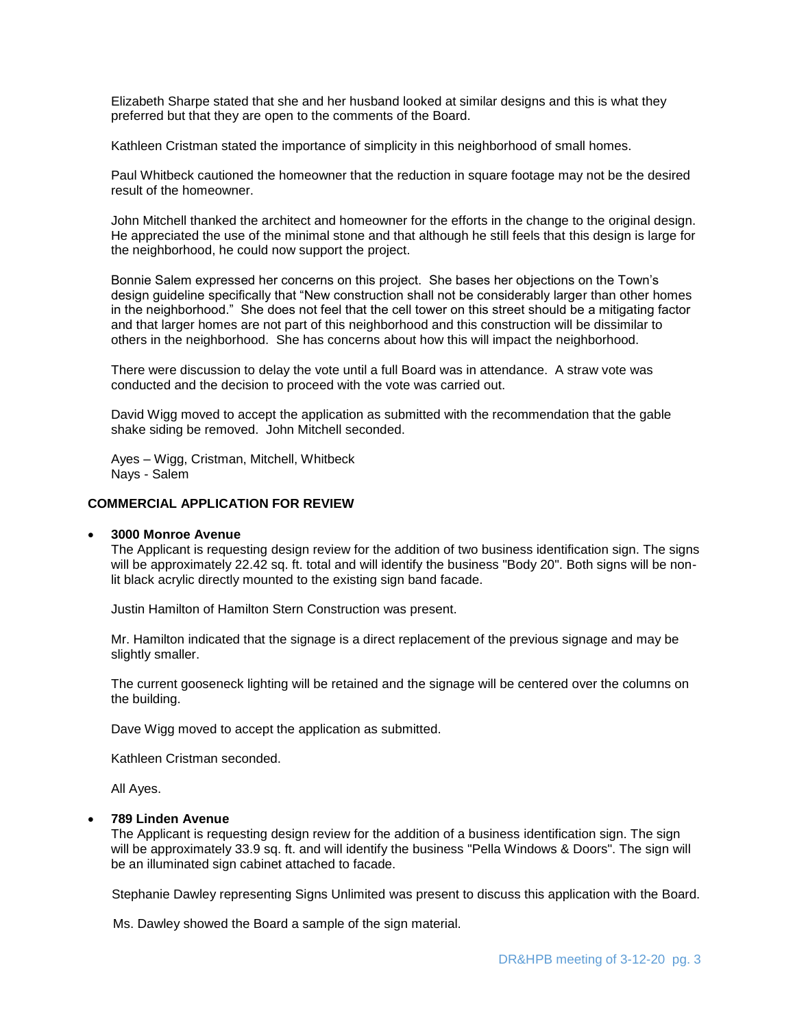Elizabeth Sharpe stated that she and her husband looked at similar designs and this is what they preferred but that they are open to the comments of the Board.

Kathleen Cristman stated the importance of simplicity in this neighborhood of small homes.

Paul Whitbeck cautioned the homeowner that the reduction in square footage may not be the desired result of the homeowner.

John Mitchell thanked the architect and homeowner for the efforts in the change to the original design. He appreciated the use of the minimal stone and that although he still feels that this design is large for the neighborhood, he could now support the project.

Bonnie Salem expressed her concerns on this project. She bases her objections on the Town's design guideline specifically that "New construction shall not be considerably larger than other homes in the neighborhood." She does not feel that the cell tower on this street should be a mitigating factor and that larger homes are not part of this neighborhood and this construction will be dissimilar to others in the neighborhood. She has concerns about how this will impact the neighborhood.

There were discussion to delay the vote until a full Board was in attendance. A straw vote was conducted and the decision to proceed with the vote was carried out.

David Wigg moved to accept the application as submitted with the recommendation that the gable shake siding be removed. John Mitchell seconded.

Ayes – Wigg, Cristman, Mitchell, Whitbeck Nays - Salem

### **COMMERCIAL APPLICATION FOR REVIEW**

#### **3000 Monroe Avenue**

The Applicant is requesting design review for the addition of two business identification sign. The signs will be approximately 22.42 sq. ft. total and will identify the business "Body 20". Both signs will be nonlit black acrylic directly mounted to the existing sign band facade.

Justin Hamilton of Hamilton Stern Construction was present.

Mr. Hamilton indicated that the signage is a direct replacement of the previous signage and may be slightly smaller.

The current gooseneck lighting will be retained and the signage will be centered over the columns on the building.

Dave Wigg moved to accept the application as submitted.

Kathleen Cristman seconded.

All Ayes.

### **789 Linden Avenue**

The Applicant is requesting design review for the addition of a business identification sign. The sign will be approximately 33.9 sq. ft. and will identify the business "Pella Windows & Doors". The sign will be an illuminated sign cabinet attached to facade.

Stephanie Dawley representing Signs Unlimited was present to discuss this application with the Board.

Ms. Dawley showed the Board a sample of the sign material.